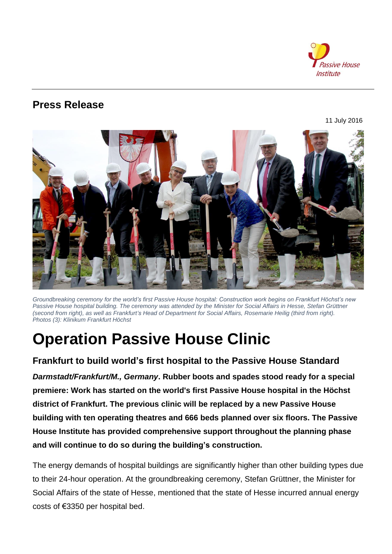

## **Press Release**

11 July 2016



*Groundbreaking ceremony for the world's first Passive House hospital: Construction work begins on Frankfurt Höchst's new Passive House hospital building. The ceremony was attended by the Minister for Social Affairs in Hesse, Stefan Grüttner (second from right), as well as Frankfurt's Head of Department for Social Affairs, Rosemarie Heilig (third from right). Photos (3): Klinikum Frankfurt Höchst*

# **Operation Passive House Clinic**

## **Frankfurt to build world's first hospital to the Passive House Standard**

*Darmstadt/Frankfurt/M., Germany***. Rubber boots and spades stood ready for a special premiere: Work has started on the world's first Passive House hospital in the Höchst district of Frankfurt. The previous clinic will be replaced by a new Passive House building with ten operating theatres and 666 beds planned over six floors. The Passive House Institute has provided comprehensive support throughout the planning phase and will continue to do so during the building's construction.**

The energy demands of hospital buildings are significantly higher than other building types due to their 24-hour operation. At the groundbreaking ceremony, Stefan Grüttner, the Minister for Social Affairs of the state of Hesse, mentioned that the state of Hesse incurred annual energy costs of €3350 per hospital bed.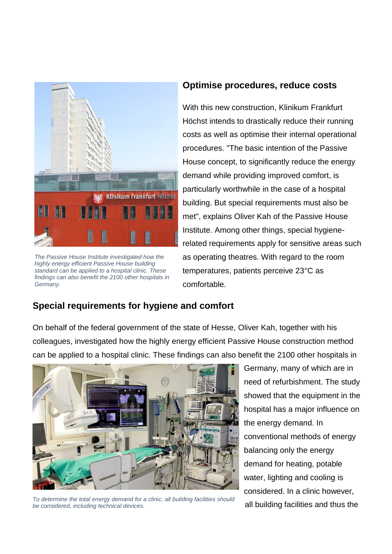

*The Passive House Institute investigated how the highly energy efficient Passive House building standard can be applied to a hospital clinic. These findings can also benefit the 2100 other hospitals in Germany.*

### **Optimise procedures, reduce costs**

With this new construction, Klinikum Frankfurt Höchst intends to drastically reduce their running costs as well as optimise their internal operational procedures. "The basic intention of the Passive House concept, to significantly reduce the energy demand while providing improved comfort, is particularly worthwhile in the case of a hospital building. But special requirements must also be met", explains Oliver Kah of the Passive House Institute. Among other things, special hygienerelated requirements apply for sensitive areas such as operating theatres. With regard to the room temperatures, patients perceive 23°C as comfortable.

## **Special requirements for hygiene and comfort**

On behalf of the federal government of the state of Hesse, Oliver Kah, together with his colleagues, investigated how the highly energy efficient Passive House construction method can be applied to a hospital clinic. These findings can also benefit the 2100 other hospitals in



*To determine the total energy demand for a clinic, all building facilities should be considered, including technical devices.*

Germany, many of which are in need of refurbishment. The study showed that the equipment in the hospital has a major influence on the energy demand. In conventional methods of energy balancing only the energy demand for heating, potable water, lighting and cooling is considered. In a clinic however, all building facilities and thus the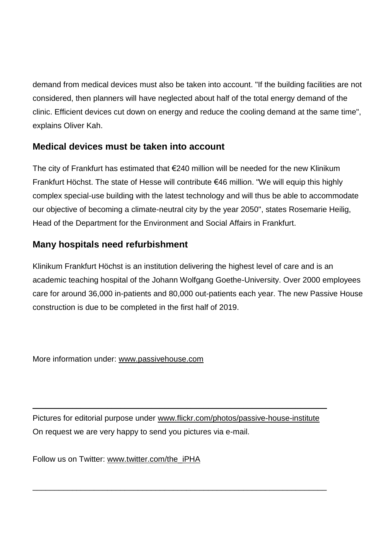demand from medical devices must also be taken into account. "If the building facilities are not considered, then planners will have neglected about half of the total energy demand of the clinic. Efficient devices cut down on energy and reduce the cooling demand at the same time", explains Oliver Kah.

## **Medical devices must be taken into account**

The city of Frankfurt has estimated that €240 million will be needed for the new Klinikum Frankfurt Höchst. The state of Hesse will contribute €46 million. "We will equip this highly complex special-use building with the latest technology and will thus be able to accommodate our objective of becoming a climate-neutral city by the year 2050", states Rosemarie Heilig, Head of the Department for the Environment and Social Affairs in Frankfurt.

## **Many hospitals need refurbishment**

Klinikum Frankfurt Höchst is an institution delivering the highest level of care and is an academic teaching hospital of the Johann Wolfgang Goethe-University. Over 2000 employees care for around 36,000 in-patients and 80,000 out-patients each year. The new Passive House construction is due to be completed in the first half of 2019.

More information under: www.passivehouse.com

Pictures for editorial purpose under [www.flickr.com/photos/passive-house-institute](http://www.flickr.com/photos/passive-house-institute) On request we are very happy to send you pictures via e-mail.

\_\_\_\_\_\_\_\_\_\_\_\_\_\_\_\_\_\_\_\_\_\_\_\_\_\_\_\_\_\_\_\_\_\_\_\_\_\_\_\_\_\_\_\_\_\_\_\_\_\_\_\_\_\_\_\_\_\_\_\_\_\_\_\_\_\_\_

\_\_\_\_\_\_\_\_\_\_\_\_\_\_\_\_\_\_\_\_\_\_\_\_\_\_\_\_\_\_\_\_\_\_\_\_\_\_\_\_\_\_\_\_\_\_\_\_\_\_\_\_\_\_\_\_\_\_\_\_\_\_\_\_\_\_\_

Follow us on Twitter: [www.twitter.com/the\\_iPHA](http://www.twitter.com/IGPassivhaus)